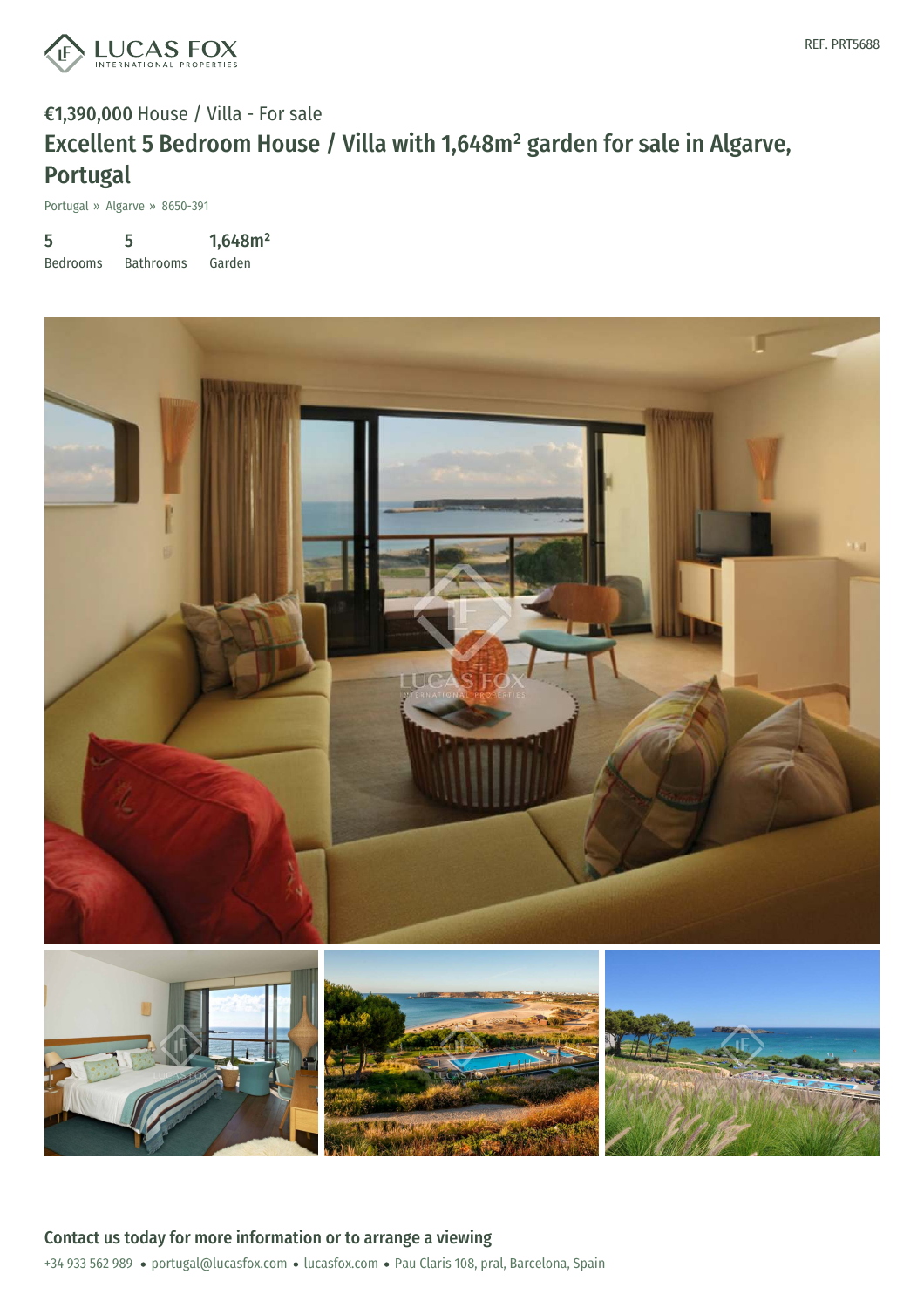

## €1,390,000 House / Villa - For sale Excellent 5 Bedroom House / Villa with 1,648m² garden for sale in Algarve, Portugal

Portugal » Algarve » 8650-391

5 Bedrooms 5 Bathrooms 1,648m² Garden



+34 933 562 989 · portugal@lucasfox.com · lucasfox.com · Pau Claris 108, pral, Barcelona, Spain Contact us today for more information or to arrange a viewing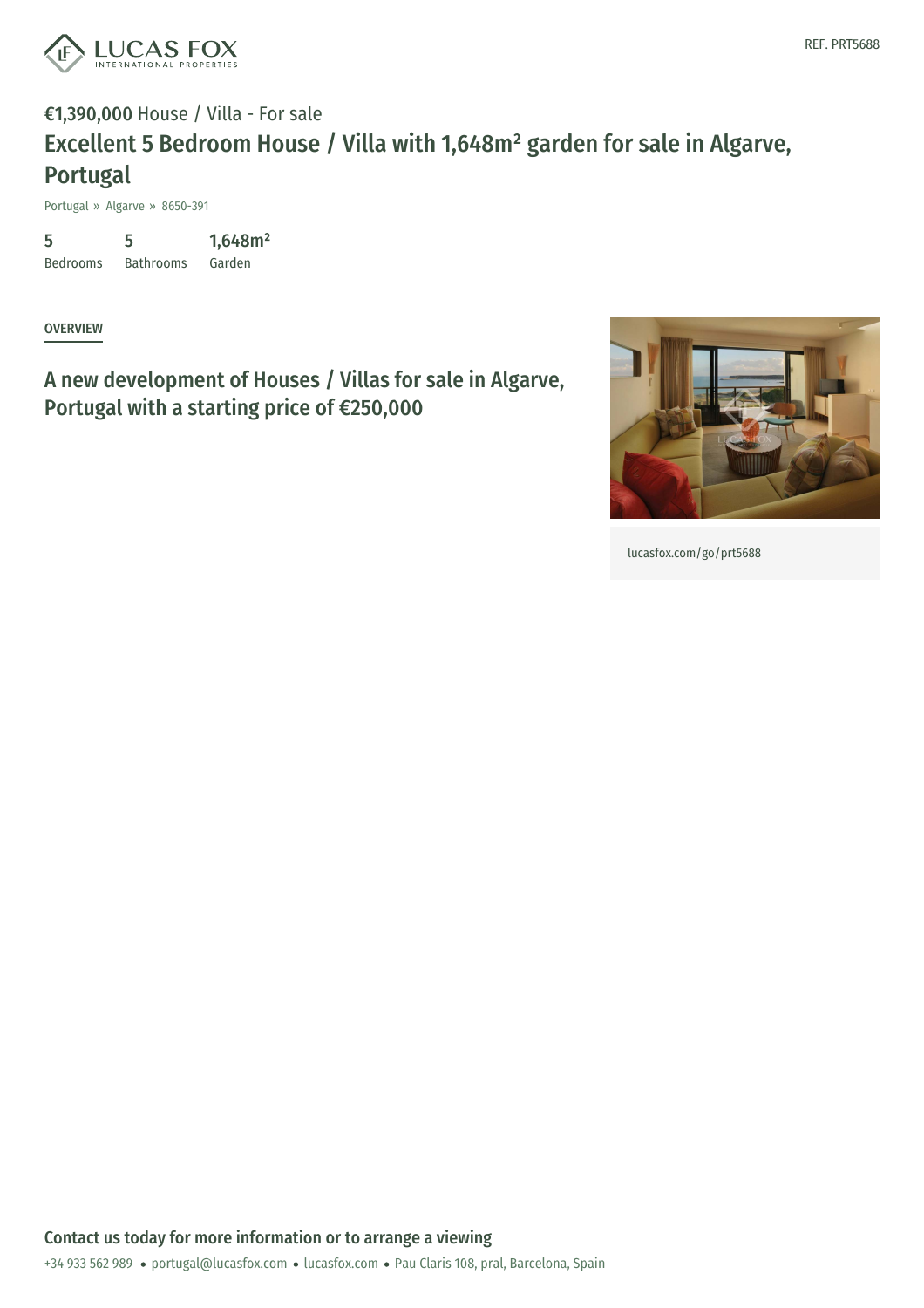

## €1,390,000 House / Villa - For sale Excellent 5 Bedroom House / Villa with 1,648m² garden for sale in Algarve, Portugal

Portugal » Algarve » 8650-391

5 Bedrooms Bathrooms Garden 5 1,648m²

**OVERVIEW** 

A new development of Houses / Villas for sale in Algarve, Portugal with a starting price of €250,000



[lucasfox.com/go/prt5688](https://www.lucasfox.com/go/prt5688)